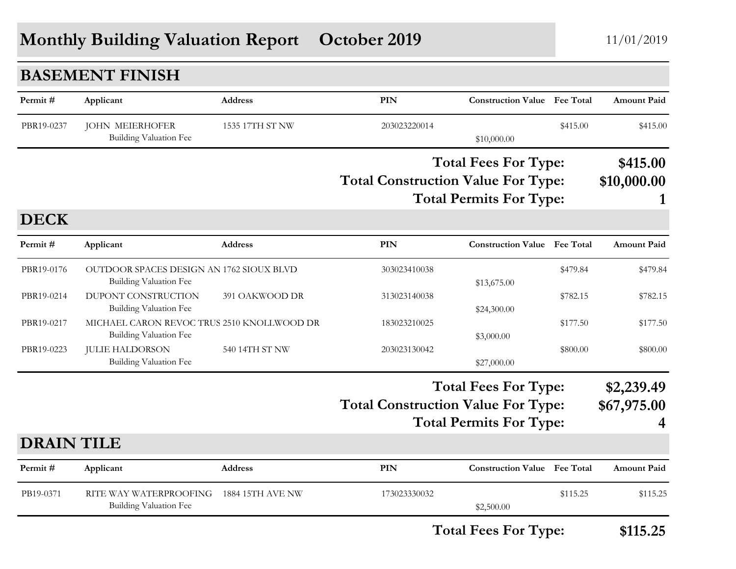## **Monthly Building Valuation Report October 2019** 11/01/2019

|                   | <b>BASEMENT FINISH</b>                                                      |                         |                                           |                                                               |          |                                |
|-------------------|-----------------------------------------------------------------------------|-------------------------|-------------------------------------------|---------------------------------------------------------------|----------|--------------------------------|
| Permit#           | Applicant                                                                   | <b>Address</b>          | PIN                                       | <b>Construction Value</b> Fee Total                           |          | <b>Amount Paid</b>             |
| PBR19-0237        | <b>JOHN MEIERHOFER</b><br><b>Building Valuation Fee</b>                     | 1535 17TH ST NW         | 203023220014                              | \$10,000.00                                                   | \$415.00 | \$415.00                       |
|                   |                                                                             |                         | <b>Total Construction Value For Type:</b> | <b>Total Fees For Type:</b><br><b>Total Permits For Type:</b> |          | \$415.00<br>\$10,000.00<br>1   |
| <b>DECK</b>       |                                                                             |                         |                                           |                                                               |          |                                |
| Permit#           | Applicant                                                                   | <b>Address</b>          | <b>PIN</b>                                | <b>Construction Value Fee Total</b>                           |          | <b>Amount Paid</b>             |
| PBR19-0176        | OUTDOOR SPACES DESIGN AN 1762 SIOUX BLVD<br><b>Building Valuation Fee</b>   |                         | 303023410038                              | \$13,675.00                                                   | \$479.84 | \$479.84                       |
| PBR19-0214        | DUPONT CONSTRUCTION<br><b>Building Valuation Fee</b>                        | 391 OAKWOOD DR          | 313023140038                              | \$24,300.00                                                   | \$782.15 | \$782.15                       |
| PBR19-0217        | MICHAEL CARON REVOC TRUS 2510 KNOLLWOOD DR<br><b>Building Valuation Fee</b> |                         | 183023210025                              | \$3,000.00                                                    | \$177.50 | \$177.50                       |
| PBR19-0223        | <b>JULIE HALDORSON</b><br><b>Building Valuation Fee</b>                     | 540 14TH ST NW          | 203023130042                              | \$27,000.00                                                   | \$800.00 | \$800.00                       |
|                   |                                                                             |                         | <b>Total Construction Value For Type:</b> | <b>Total Fees For Type:</b><br><b>Total Permits For Type:</b> |          | \$2,239.49<br>\$67,975.00<br>4 |
| <b>DRAIN TILE</b> |                                                                             |                         |                                           |                                                               |          |                                |
| Permit#           | Applicant                                                                   | <b>Address</b>          | PIN                                       | <b>Construction Value</b> Fee Total                           |          | <b>Amount Paid</b>             |
| PB19-0371         | RITE WAY WATERPROOFING<br><b>Building Valuation Fee</b>                     | <b>1884 15TH AVE NW</b> | 173023330032                              | \$2,500.00                                                    | \$115.25 | \$115.25                       |

**Total Fees For Type: \$115.25**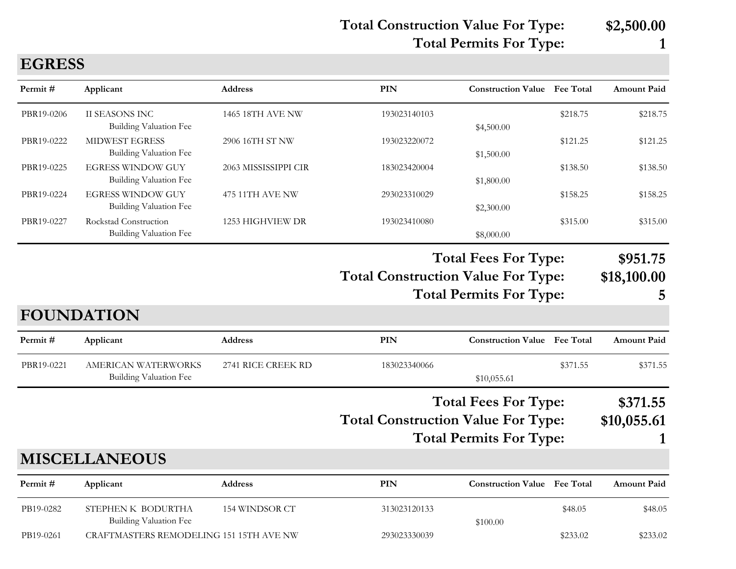**Total Construction Value For Type: \$2,500.00**

**Total Permits For Type: 1**

| Permit#    | Applicant                                                 | <b>Address</b>       | <b>PIN</b>                                | <b>Construction Value Fee Total</b>                           |          | <b>Amount Paid</b>           |
|------------|-----------------------------------------------------------|----------------------|-------------------------------------------|---------------------------------------------------------------|----------|------------------------------|
| PBR19-0206 | II SEASONS INC<br><b>Building Valuation Fee</b>           | 1465 18TH AVE NW     | 193023140103                              | \$4,500.00                                                    | \$218.75 | \$218.75                     |
| PBR19-0222 | <b>MIDWEST EGRESS</b><br><b>Building Valuation Fee</b>    | 2906 16TH ST NW      | 193023220072                              | \$1,500.00                                                    | \$121.25 | \$121.25                     |
| PBR19-0225 | <b>EGRESS WINDOW GUY</b><br><b>Building Valuation Fee</b> | 2063 MISSISSIPPI CIR | 183023420004                              | \$1,800.00                                                    | \$138.50 | \$138.50                     |
| PBR19-0224 | <b>EGRESS WINDOW GUY</b><br><b>Building Valuation Fee</b> | 475 11TH AVE NW      | 293023310029                              | \$2,300.00                                                    | \$158.25 | \$158.25                     |
| PBR19-0227 | Rockstad Construction<br><b>Building Valuation Fee</b>    | 1253 HIGHVIEW DR     | 193023410080                              | \$8,000.00                                                    | \$315.00 | \$315.00                     |
|            |                                                           |                      | <b>Total Construction Value For Type:</b> | <b>Total Fees For Type:</b><br><b>Total Permits For Type:</b> |          | \$951.75<br>\$18,100.00<br>5 |
|            | <b>FOUNDATION</b>                                         |                      |                                           |                                                               |          |                              |
| Permit#    | Applicant                                                 | <b>Address</b>       | <b>PIN</b>                                | <b>Construction Value Fee Total</b>                           |          | <b>Amount Paid</b>           |
| PBR19-0221 | AMERICAN WATERWORKS<br><b>Building Valuation Fee</b>      | 2741 RICE CREEK RD   | 183023340066                              | \$10,055.61                                                   | \$371.55 | \$371.55                     |
|            |                                                           |                      |                                           | <b>Total Fees For Type:</b>                                   |          | \$371.55                     |
|            |                                                           |                      | <b>Total Construction Value For Type:</b> | <b>Total Permits For Type:</b>                                |          | \$10,055.61                  |
|            | <b>MISCELLANEOUS</b>                                      |                      |                                           |                                                               |          |                              |
| Permit#    | Applicant                                                 | Address              | <b>PIN</b>                                | <b>Construction Value Fee Total</b>                           |          | <b>Amount Paid</b>           |
| PB19-0282  | STEPHEN K BODURTHA<br><b>Building Valuation Fee</b>       | 154 WINDSOR CT       | 313023120133                              | \$100.00                                                      | \$48.05  | \$48.05                      |
| PB19-0261  | CRAFTMASTERS REMODELING 151 15TH AVE NW                   |                      | 293023330039                              |                                                               | \$233.02 | \$233.02                     |

**EGRESS**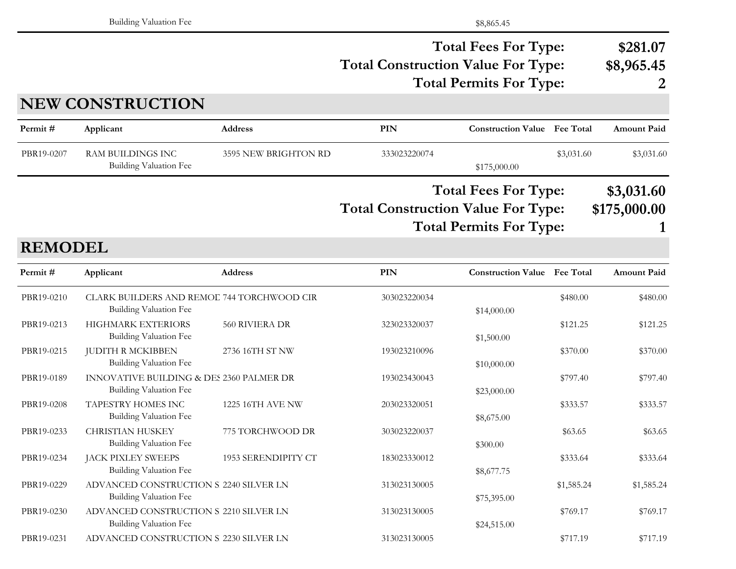### **Total Construction Value For Type: \$8,965.45 Total Fees For Type: \$281.07 Total Permits For Type: 2**

|                | <b>NEW CONSTRUCTION</b>                                                     |                      |                                           |                                                               |            |                            |
|----------------|-----------------------------------------------------------------------------|----------------------|-------------------------------------------|---------------------------------------------------------------|------------|----------------------------|
| Permit#        | Applicant                                                                   | <b>Address</b>       | <b>PIN</b>                                | <b>Construction Value</b> Fee Total                           |            | <b>Amount Paid</b>         |
| PBR19-0207     | <b>RAM BUILDINGS INC</b><br>Building Valuation Fee                          | 3595 NEW BRIGHTON RD | 333023220074                              | \$175,000.00                                                  | \$3,031.60 | \$3,031.60                 |
|                |                                                                             |                      | <b>Total Construction Value For Type:</b> | <b>Total Fees For Type:</b><br><b>Total Permits For Type:</b> |            | \$3,031.60<br>\$175,000.00 |
| <b>REMODEL</b> |                                                                             |                      |                                           |                                                               |            |                            |
| Permit#        | Applicant                                                                   | <b>Address</b>       | <b>PIN</b>                                | <b>Construction Value</b> Fee Total                           |            | <b>Amount Paid</b>         |
| PBR19-0210     | CLARK BUILDERS AND REMOE 744 TORCHWOOD CIR<br><b>Building Valuation Fee</b> |                      | 303023220034                              | \$14,000.00                                                   | \$480.00   | \$480.00                   |
| PBR19-0213     | HIGHMARK EXTERIORS<br>Building Valuation Fee                                | 560 RIVIERA DR       | 323023320037                              | \$1,500.00                                                    | \$121.25   | \$121.25                   |
| PBR19-0215     | <b>JUDITH R MCKIBBEN</b><br><b>Building Valuation Fee</b>                   | 2736 16TH ST NW      | 193023210096                              | \$10,000.00                                                   | \$370.00   | \$370.00                   |
| PBR19-0189     | INNOVATIVE BUILDING & DES 2360 PALMER DR<br>Building Valuation Fee          |                      | 193023430043                              | \$23,000.00                                                   | \$797.40   | \$797.40                   |
| PBR19-0208     | TAPESTRY HOMES INC<br><b>Building Valuation Fee</b>                         | 1225 16TH AVE NW     | 203023320051                              | \$8,675.00                                                    | \$333.57   | \$333.57                   |
| PBR19-0233     | <b>CHRISTIAN HUSKEY</b><br><b>Building Valuation Fee</b>                    | 775 TORCHWOOD DR     | 303023220037                              | \$300.00                                                      | \$63.65    | \$63.65                    |
| PBR19-0234     | JACK PIXLEY SWEEPS<br>Building Valuation Fee                                | 1953 SERENDIPITY CT  | 183023330012                              | \$8,677.75                                                    | \$333.64   | \$333.64                   |
| PBR19-0229     | ADVANCED CONSTRUCTION S 2240 SILVER LN<br>Building Valuation Fee            |                      | 313023130005                              | \$75,395.00                                                   | \$1,585.24 | \$1,585.24                 |
| PBR19-0230     | ADVANCED CONSTRUCTION S 2210 SILVER LN                                      |                      | 313023130005                              |                                                               | \$769.17   | \$769.17                   |

Building Valuation Fee  $$24,515.00$ 

PBR19-0231 ADVANCED CONSTRUCTION S 2230 SILVER LN 313023130005 \$717.19 \$717.19 \$717.19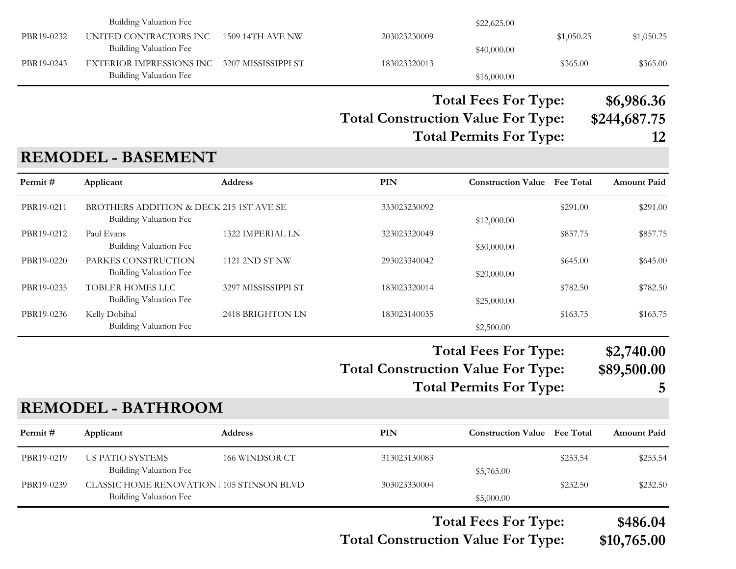|            | Building Valuation Fee                                                 |                  |              | \$22,625.00 |            |            |
|------------|------------------------------------------------------------------------|------------------|--------------|-------------|------------|------------|
| PBR19-0232 | UNITED CONTRACTORS INC<br>Building Valuation Fee                       | 1509 14TH AVE NW | 203023230009 | \$40,000.00 | \$1,050.25 | \$1,050.25 |
| PBR19-0243 | EXTERIOR IMPRESSIONS INC 3207 MISSISSIPPI ST<br>Building Valuation Fee |                  | 183023320013 | \$16,000.00 | \$365.00   | \$365.00   |
|            |                                                                        |                  |              |             |            |            |

**Total Fees For Type: \$6,986.36**

**Total Construction Value For Type: \$244,687.75**

**Total Permits For Type: 12**

### **REMODEL - BASEMENT**

| Applicant                                            | <b>Address</b>      | <b>PIN</b>                              |             | <b>Fee Total</b> | <b>Amount Paid</b>                                                                                    |
|------------------------------------------------------|---------------------|-----------------------------------------|-------------|------------------|-------------------------------------------------------------------------------------------------------|
| Building Valuation Fee                               |                     | 333023230092                            | \$12,000.00 | \$291.00         | \$291.00                                                                                              |
| Paul Evans<br><b>Building Valuation Fee</b>          | 1322 IMPERIAL LN    | 323023320049                            | \$30,000.00 | \$857.75         | \$857.75                                                                                              |
| PARKES CONSTRUCTION<br><b>Building Valuation Fee</b> | 1121 2ND ST NW      | 293023340042                            | \$20,000.00 | \$645.00         | \$645.00                                                                                              |
| <b>TOBLER HOMES LLC</b><br>Building Valuation Fee    | 3297 MISSISSIPPI ST | 183023320014                            | \$25,000.00 | \$782.50         | \$782.50                                                                                              |
| Kelly Dobihal<br>Building Valuation Fee              | 2418 BRIGHTON LN    | 183023140035                            | \$2,500.00  | \$163.75         | \$163.75                                                                                              |
|                                                      |                     |                                         |             |                  | \$2,740.00<br>\$89,500.00                                                                             |
|                                                      |                     | BROTHERS ADDITION & DECK 215 1ST AVE SE |             |                  | <b>Construction Value</b><br><b>Total Fees For Type:</b><br><b>Total Construction Value For Type:</b> |

**Total Permits For Type: 5**

### **REMODEL - BATHROOM**

| Permit#    | Applicant                                                          | <b>Address</b> | <b>PIN</b>   | <b>Construction Value</b> Fee Total |          | <b>Amount Paid</b> |
|------------|--------------------------------------------------------------------|----------------|--------------|-------------------------------------|----------|--------------------|
| PBR19-0219 | US PATIO SYSTEMS<br>Building Valuation Fee                         | 166 WINDSOR CT | 313023130083 | \$5,765.00                          | \$253.54 | \$253.54           |
| PBR19-0239 | CLASSIC HOME RENOVATION 105 STINSON BLVD<br>Building Valuation Fee |                | 303023330004 | \$5,000.00                          | \$232.50 | \$232.50           |

**Total Construction Value For Type: \$10,765.00 Total Fees For Type: \$486.04**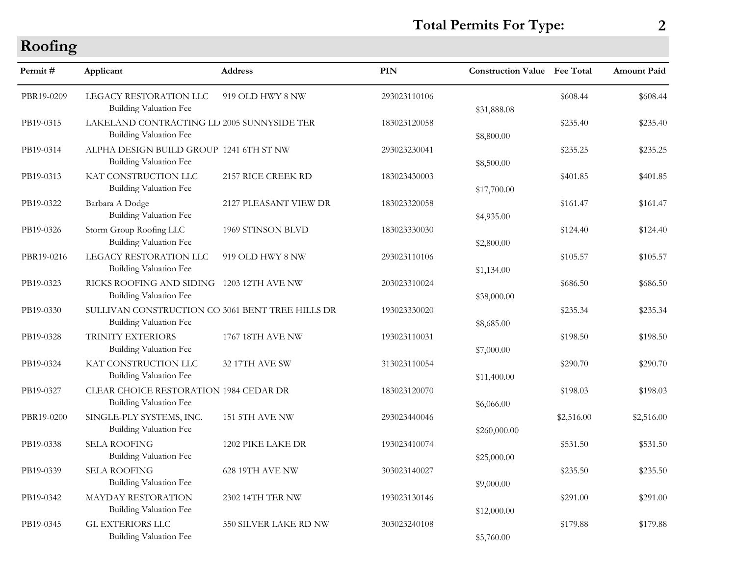### **Total Permits For Type: 2**

### **Roofing**

| Permit#    | Applicant                                                                         | <b>Address</b>        | <b>PIN</b>   | <b>Construction Value</b> Fee Total |            | <b>Amount Paid</b> |
|------------|-----------------------------------------------------------------------------------|-----------------------|--------------|-------------------------------------|------------|--------------------|
| PBR19-0209 | LEGACY RESTORATION LLC<br><b>Building Valuation Fee</b>                           | 919 OLD HWY 8 NW      | 293023110106 | \$31,888.08                         | \$608.44   | \$608.44           |
| PB19-0315  | LAKELAND CONTRACTING LL 2005 SUNNYSIDE TER<br>Building Valuation Fee              |                       | 183023120058 | \$8,800.00                          | \$235.40   | \$235.40           |
| PB19-0314  | ALPHA DESIGN BUILD GROUP 1241 6TH ST NW<br><b>Building Valuation Fee</b>          |                       | 293023230041 | \$8,500.00                          | \$235.25   | \$235.25           |
| PB19-0313  | KAT CONSTRUCTION LLC<br><b>Building Valuation Fee</b>                             | 2157 RICE CREEK RD    | 183023430003 | \$17,700.00                         | \$401.85   | \$401.85           |
| PB19-0322  | Barbara A Dodge<br><b>Building Valuation Fee</b>                                  | 2127 PLEASANT VIEW DR | 183023320058 | \$4,935.00                          | \$161.47   | \$161.47           |
| PB19-0326  | Storm Group Roofing LLC<br><b>Building Valuation Fee</b>                          | 1969 STINSON BLVD     | 183023330030 | \$2,800.00                          | \$124.40   | \$124.40           |
| PBR19-0216 | LEGACY RESTORATION LLC<br>Building Valuation Fee                                  | 919 OLD HWY 8 NW      | 293023110106 | \$1,134.00                          | \$105.57   | \$105.57           |
| PB19-0323  | RICKS ROOFING AND SIDING 1203 12TH AVE NW<br><b>Building Valuation Fee</b>        |                       | 203023310024 | \$38,000.00                         | \$686.50   | \$686.50           |
| PB19-0330  | SULLIVAN CONSTRUCTION CO 3061 BENT TREE HILLS DR<br><b>Building Valuation Fee</b> |                       | 193023330020 | \$8,685.00                          | \$235.34   | \$235.34           |
| PB19-0328  | TRINITY EXTERIORS<br><b>Building Valuation Fee</b>                                | 1767 18TH AVE NW      | 193023110031 | \$7,000.00                          | \$198.50   | \$198.50           |
| PB19-0324  | KAT CONSTRUCTION LLC<br><b>Building Valuation Fee</b>                             | 32 17TH AVE SW        | 313023110054 | \$11,400.00                         | \$290.70   | \$290.70           |
| PB19-0327  | CLEAR CHOICE RESTORATION 1984 CEDAR DR<br>Building Valuation Fee                  |                       | 183023120070 | \$6,066.00                          | \$198.03   | \$198.03           |
| PBR19-0200 | SINGLE-PLY SYSTEMS, INC.<br><b>Building Valuation Fee</b>                         | 151 5TH AVE NW        | 293023440046 | \$260,000.00                        | \$2,516.00 | \$2,516.00         |
| PB19-0338  | <b>SELA ROOFING</b><br><b>Building Valuation Fee</b>                              | 1202 PIKE LAKE DR     | 193023410074 | \$25,000.00                         | \$531.50   | \$531.50           |
| PB19-0339  | <b>SELA ROOFING</b><br><b>Building Valuation Fee</b>                              | 628 19TH AVE NW       | 303023140027 | \$9,000.00                          | \$235.50   | \$235.50           |
| PB19-0342  | <b>MAYDAY RESTORATION</b><br><b>Building Valuation Fee</b>                        | 2302 14TH TER NW      | 193023130146 | \$12,000.00                         | \$291.00   | \$291.00           |
| PB19-0345  | <b>GL EXTERIORS LLC</b><br><b>Building Valuation Fee</b>                          | 550 SILVER LAKE RD NW | 303023240108 | \$5,760.00                          | \$179.88   | \$179.88           |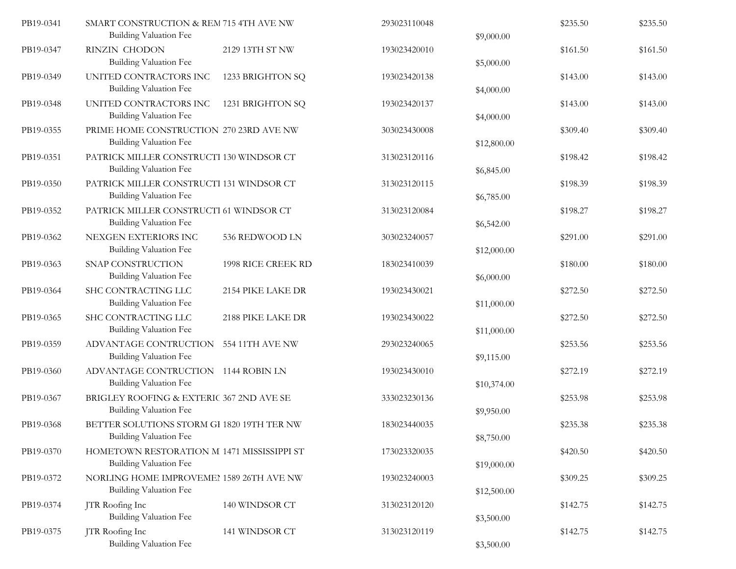| PB19-0341 | SMART CONSTRUCTION & REM 715 4TH AVE NW<br><b>Building Valuation Fee</b>    |                    | 293023110048 | \$9,000.00  | \$235.50 | \$235.50 |
|-----------|-----------------------------------------------------------------------------|--------------------|--------------|-------------|----------|----------|
| PB19-0347 | <b>RINZIN CHODON</b><br>Building Valuation Fee                              | 2129 13TH ST NW    | 193023420010 | \$5,000.00  | \$161.50 | \$161.50 |
| PB19-0349 | UNITED CONTRACTORS INC<br><b>Building Valuation Fee</b>                     | 1233 BRIGHTON SQ   | 193023420138 | \$4,000.00  | \$143.00 | \$143.00 |
| PB19-0348 | UNITED CONTRACTORS INC<br><b>Building Valuation Fee</b>                     | 1231 BRIGHTON SQ   | 193023420137 | \$4,000.00  | \$143.00 | \$143.00 |
| PB19-0355 | PRIME HOME CONSTRUCTION 270 23RD AVE NW<br><b>Building Valuation Fee</b>    |                    | 303023430008 | \$12,800.00 | \$309.40 | \$309.40 |
| PB19-0351 | PATRICK MILLER CONSTRUCTI 130 WINDSOR CT<br><b>Building Valuation Fee</b>   |                    | 313023120116 | \$6,845.00  | \$198.42 | \$198.42 |
| PB19-0350 | PATRICK MILLER CONSTRUCTI 131 WINDSOR CT<br><b>Building Valuation Fee</b>   |                    | 313023120115 | \$6,785.00  | \$198.39 | \$198.39 |
| PB19-0352 | PATRICK MILLER CONSTRUCTI 61 WINDSOR CT<br><b>Building Valuation Fee</b>    |                    | 313023120084 | \$6,542.00  | \$198.27 | \$198.27 |
| PB19-0362 | NEXGEN EXTERIORS INC<br><b>Building Valuation Fee</b>                       | 536 REDWOOD LN     | 303023240057 | \$12,000.00 | \$291.00 | \$291.00 |
| PB19-0363 | SNAP CONSTRUCTION<br><b>Building Valuation Fee</b>                          | 1998 RICE CREEK RD | 183023410039 | \$6,000.00  | \$180.00 | \$180.00 |
| PB19-0364 | SHC CONTRACTING LLC<br><b>Building Valuation Fee</b>                        | 2154 PIKE LAKE DR  | 193023430021 | \$11,000.00 | \$272.50 | \$272.50 |
| PB19-0365 | SHC CONTRACTING LLC<br>Building Valuation Fee                               | 2188 PIKE LAKE DR  | 193023430022 | \$11,000.00 | \$272.50 | \$272.50 |
| PB19-0359 | ADVANTAGE CONTRUCTION 554 11TH AVE NW<br><b>Building Valuation Fee</b>      |                    | 293023240065 | \$9,115.00  | \$253.56 | \$253.56 |
| PB19-0360 | ADVANTAGE CONTRUCTION 1144 ROBIN LN<br>Building Valuation Fee               |                    | 193023430010 | \$10,374.00 | \$272.19 | \$272.19 |
| PB19-0367 | BRIGLEY ROOFING & EXTERIC 367 2ND AVE SE<br><b>Building Valuation Fee</b>   |                    | 333023230136 | \$9,950.00  | \$253.98 | \$253.98 |
| PB19-0368 | BETTER SOLUTIONS STORM GI 1820 19TH TER NW<br><b>Building Valuation Fee</b> |                    | 183023440035 | \$8,750.00  | \$235.38 | \$235.38 |
| PB19-0370 | HOMETOWN RESTORATION M 1471 MISSISSIPPI ST<br><b>Building Valuation Fee</b> |                    | 173023320035 | \$19,000.00 | \$420.50 | \$420.50 |
| PB19-0372 | NORLING HOME IMPROVEMEI 1589 26TH AVE NW<br>Building Valuation Fee          |                    | 193023240003 | \$12,500.00 | \$309.25 | \$309.25 |
| PB19-0374 | JTR Roofing Inc<br><b>Building Valuation Fee</b>                            | 140 WINDSOR CT     | 313023120120 | \$3,500.00  | \$142.75 | \$142.75 |
| PB19-0375 | JTR Roofing Inc<br>Building Valuation Fee                                   | 141 WINDSOR CT     | 313023120119 | \$3,500.00  | \$142.75 | \$142.75 |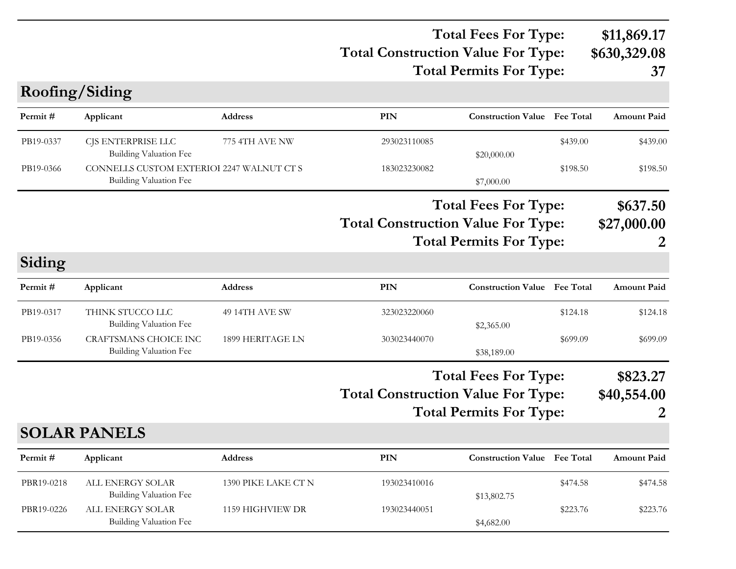### **Total Construction Value For Type: \$630,329.08 Total Fees For Type: \$11,869.17 Total Permits For Type: 37**

**Roofing/Siding**

| Permit#    | Applicant                                                                  | <b>Address</b>      | PIN                                       | <b>Construction Value Fee Total</b>                           |                  | <b>Amount Paid</b>           |
|------------|----------------------------------------------------------------------------|---------------------|-------------------------------------------|---------------------------------------------------------------|------------------|------------------------------|
| PB19-0337  | CJS ENTERPRISE LLC<br>Building Valuation Fee                               | 775 4TH AVE NW      | 293023110085                              | \$20,000.00                                                   | \$439.00         | \$439.00                     |
| PB19-0366  | CONNELLS CUSTOM EXTERIOI 2247 WALNUT CT S<br><b>Building Valuation Fee</b> |                     | 183023230082                              | \$7,000.00                                                    | \$198.50         | \$198.50                     |
|            |                                                                            |                     | <b>Total Construction Value For Type:</b> | <b>Total Fees For Type:</b><br><b>Total Permits For Type:</b> |                  | \$637.50<br>\$27,000.00<br>2 |
| Siding     |                                                                            |                     |                                           |                                                               |                  |                              |
| Permit#    | Applicant                                                                  | <b>Address</b>      | <b>PIN</b>                                | <b>Construction Value</b>                                     | <b>Fee Total</b> | <b>Amount Paid</b>           |
| PB19-0317  | THINK STUCCO LLC<br>Building Valuation Fee                                 | 49 14TH AVE SW      | 323023220060                              | \$2,365.00                                                    | \$124.18         | \$124.18                     |
| PB19-0356  | <b>CRAFTSMANS CHOICE INC</b><br><b>Building Valuation Fee</b>              | 1899 HERITAGE LN    | 303023440070                              | \$38,189.00                                                   | \$699.09         | \$699.09                     |
|            |                                                                            |                     | <b>Total Construction Value For Type:</b> | <b>Total Fees For Type:</b><br><b>Total Permits For Type:</b> |                  | \$823.27<br>\$40,554.00<br>2 |
|            | <b>SOLAR PANELS</b>                                                        |                     |                                           |                                                               |                  |                              |
| Permit#    | Applicant                                                                  | <b>Address</b>      | PIN                                       | <b>Construction Value Fee Total</b>                           |                  | <b>Amount Paid</b>           |
| PBR19-0218 | ALL ENERGY SOLAR<br>Building Valuation Fee                                 | 1390 PIKE LAKE CT N | 193023410016                              | \$13,802.75                                                   | \$474.58         | \$474.58                     |
| PBR19-0226 | ALL ENERGY SOLAR<br><b>Building Valuation Fee</b>                          | 1159 HIGHVIEW DR    | 193023440051                              | \$4,682.00                                                    | \$223.76         | \$223.76                     |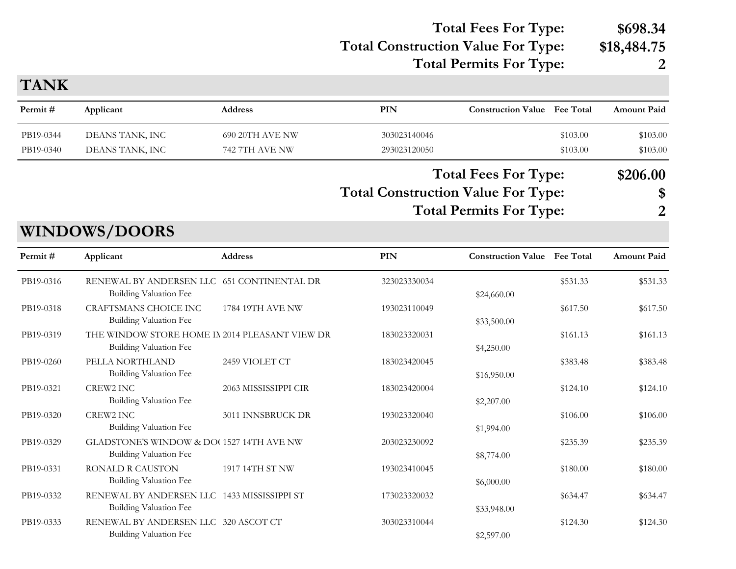### **Total Construction Value For Type: \$18,484.75 Total Fees For Type: \$698.34**

**Total Permits For Type: 2**

| <b>TANK</b> |                                                                              |                         |                                           |                                     |          |                |
|-------------|------------------------------------------------------------------------------|-------------------------|-------------------------------------------|-------------------------------------|----------|----------------|
| Permit#     | Applicant                                                                    | <b>Address</b>          | <b>PIN</b>                                | <b>Construction Value Fee Total</b> |          | Amount Paid    |
| PB19-0344   | DEANS TANK, INC                                                              | 690 20TH AVE NW         | 303023140046                              |                                     | \$103.00 | \$103.00       |
| PB19-0340   | DEANS TANK, INC                                                              | 742 7TH AVE NW          | 293023120050                              |                                     | \$103.00 | \$103.00       |
|             |                                                                              |                         |                                           | <b>Total Fees For Type:</b>         |          | \$206.00       |
|             |                                                                              |                         | <b>Total Construction Value For Type:</b> |                                     |          | \$             |
|             |                                                                              |                         |                                           | <b>Total Permits For Type:</b>      |          | $\overline{2}$ |
|             | <b>WINDOWS/DOORS</b>                                                         |                         |                                           |                                     |          |                |
| Permit#     | Applicant                                                                    | <b>Address</b>          | <b>PIN</b>                                | <b>Construction Value Fee Total</b> |          | Amount Paid    |
| PB19-0316   | RENEWAL BY ANDERSEN LLC 651 CONTINENTAL DR<br><b>Building Valuation Fee</b>  |                         | 323023330034                              | \$24,660.00                         | \$531.33 | \$531.33       |
| PB19-0318   | <b>CRAFTSMANS CHOICE INC</b><br><b>Building Valuation Fee</b>                | <b>1784 19TH AVE NW</b> | 193023110049                              | \$33,500.00                         | \$617.50 | \$617.50       |
| PB19-0319   | THE WINDOW STORE HOME IN 2014 PLEASANT VIEW DR<br>Building Valuation Fee     |                         | 183023320031                              | \$4,250.00                          | \$161.13 | \$161.13       |
| PB19-0260   | PELLA NORTHLAND<br><b>Building Valuation Fee</b>                             | 2459 VIOLET CT          | 183023420045                              | \$16,950.00                         | \$383.48 | \$383.48       |
| PB19-0321   | <b>CREW2 INC</b><br>Building Valuation Fee                                   | 2063 MISSISSIPPI CIR    | 183023420004                              | \$2,207.00                          | \$124.10 | \$124.10       |
| PB19-0320   | <b>CREW2 INC</b><br>Building Valuation Fee                                   | 3011 INNSBRUCK DR       | 193023320040                              | \$1,994.00                          | \$106.00 | \$106.00       |
| PB19-0329   | GLADSTONE'S WINDOW & DO(1527 14TH AVE NW<br><b>Building Valuation Fee</b>    |                         | 203023230092                              | \$8,774.00                          | \$235.39 | \$235.39       |
| PB19-0331   | <b>RONALD R CAUSTON</b><br><b>Building Valuation Fee</b>                     | 1917 14TH ST NW         | 193023410045                              | \$6,000.00                          | \$180.00 | \$180.00       |
| PB19-0332   | RENEWAL BY ANDERSEN LLC 1433 MISSISSIPPI ST<br><b>Building Valuation Fee</b> |                         | 173023320032                              | \$33,948.00                         | \$634.47 | \$634.47       |
| PB19-0333   | RENEWAL BY ANDERSEN LLC 320 ASCOT CT<br><b>Building Valuation Fee</b>        |                         | 303023310044                              | \$2,597.00                          | \$124.30 | \$124.30       |